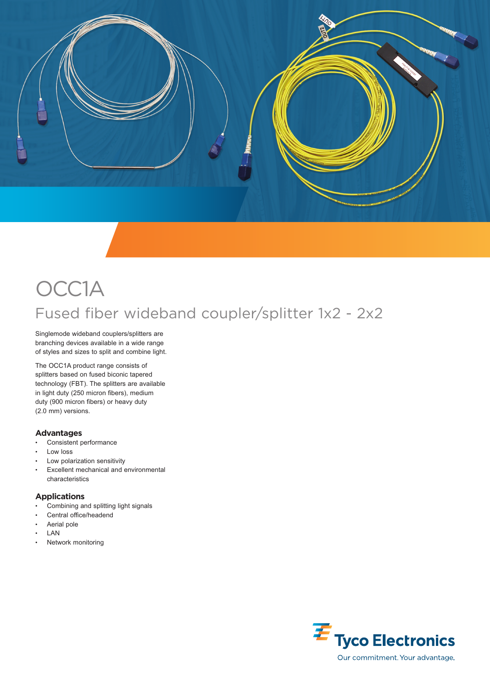

## OCC1A Fused fiber wideband coupler/splitter 1x2 - 2x2

Singlemode wideband couplers/splitters are branching devices available in a wide range of styles and sizes to split and combine light.

The OCC1A product range consists of splitters based on fused biconic tapered technology (FBT). The splitters are available in light duty (250 micron fibers), medium duty (900 micron fibers) or heavy duty (2.0 mm) versions.

## **Advantages**

- Consistent performance
- Low loss
- Low polarization sensitivity
- Excellent mechanical and environmental characteristics

## **Applications**

- Combining and splitting light signals
- Central office/headend
- Aerial pole
- LAN
- Network monitoring